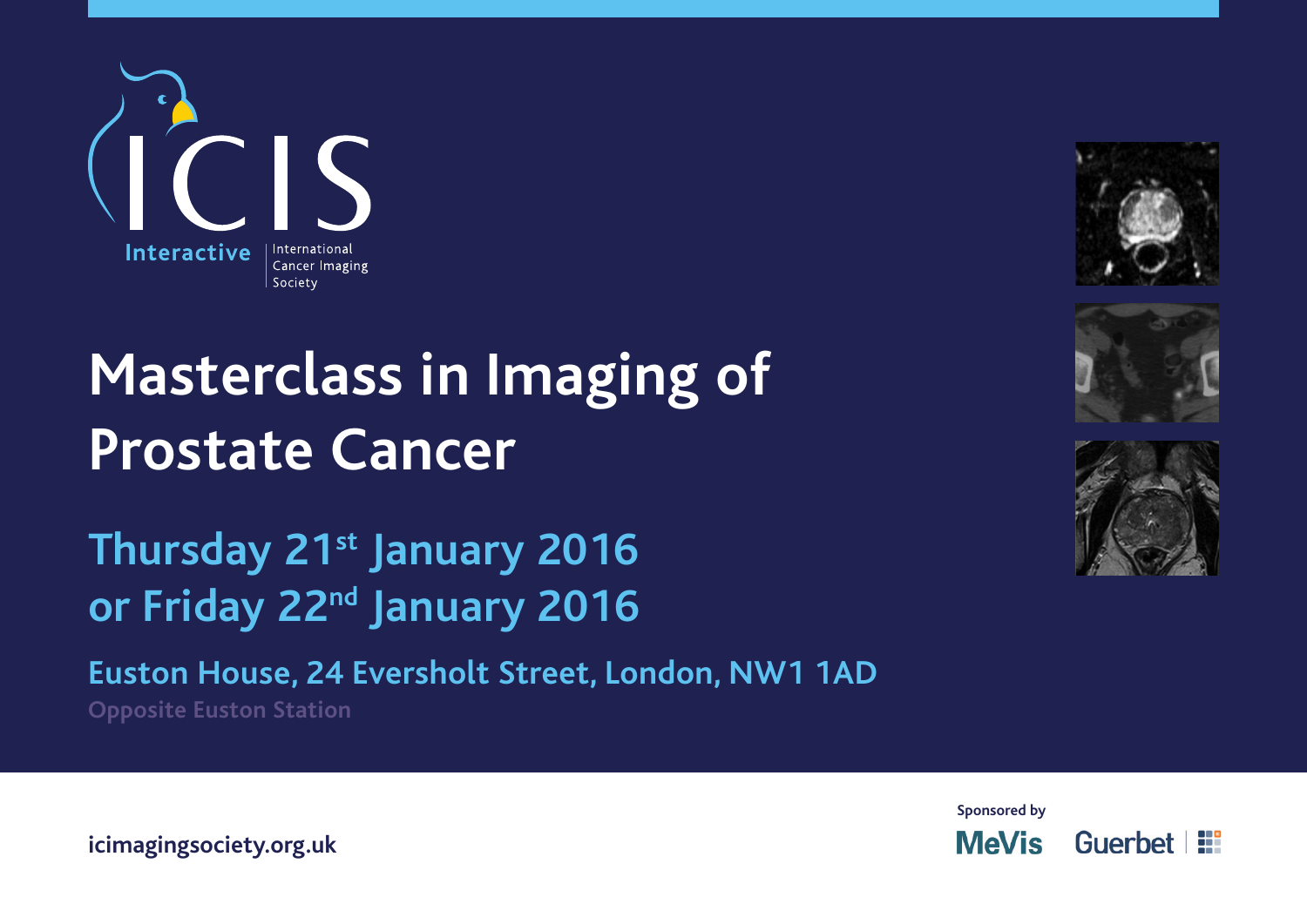





**Thursday 21st January 2016** or Friday 22<sup>nd</sup> January 2016

**Euston House, 24 Eversholt Street, London, NW1 1AD**

**Opposite Euston Station**





**icimagingsociety.org.uk**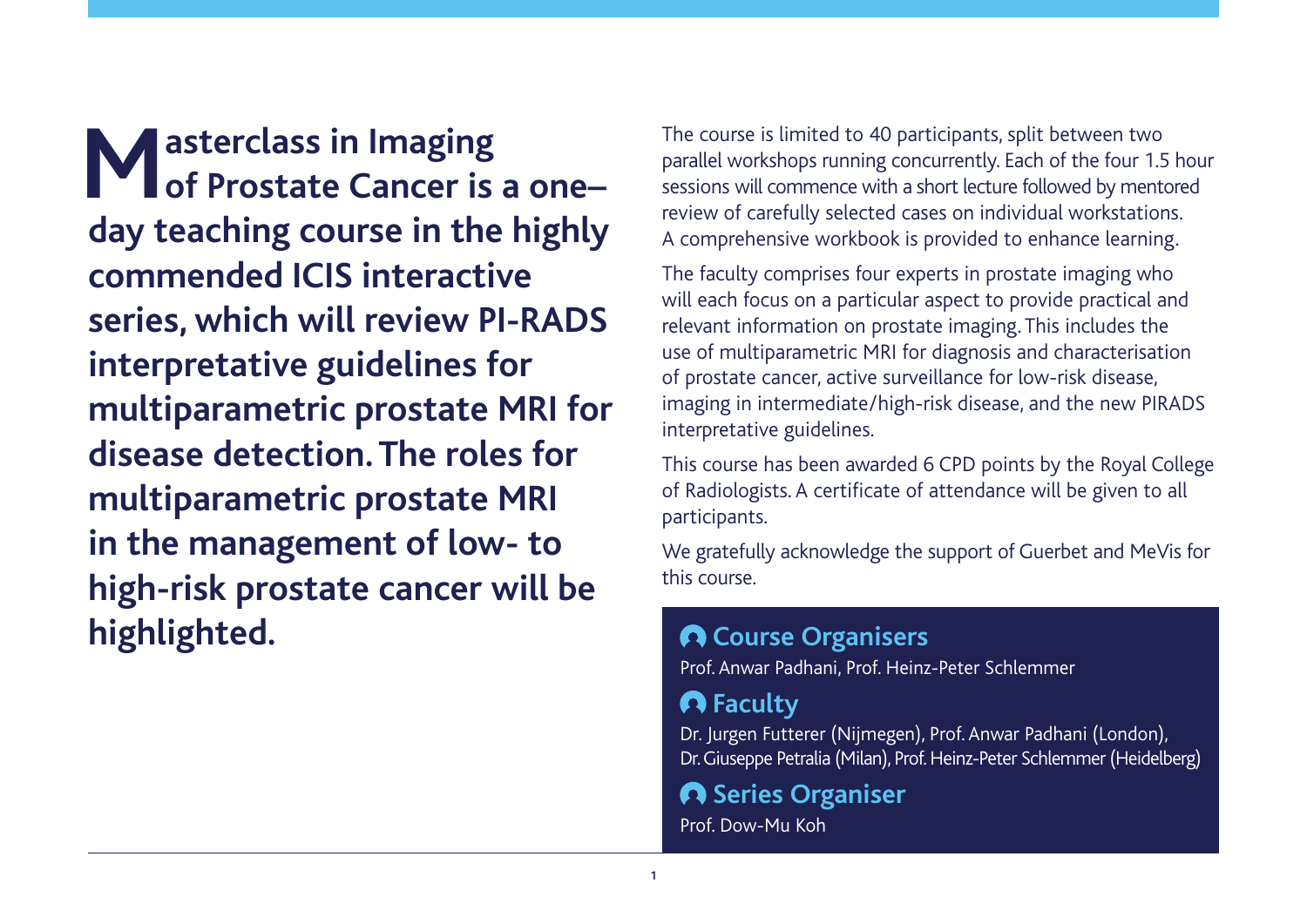**Masterclass in Imaging<br>
<b>Mof Prostate Cancer is of Prostate Cancer is a one– day teaching course in the highly commended ICIS interactive series, which will review PI-RADS interpretative guidelines for multiparametric prostate MRI for disease detection. The roles for multiparametric prostate MRI in the management of low- to high-risk prostate cancer will be highlighted.**

The course is limited to 40 participants, split between two parallel workshops running concurrently. Each of the four 1.5 hour sessions will commence with a short lecture followed by mentored review of carefully selected cases on individual workstations. A comprehensive workbook is provided to enhance learning.

The faculty comprises four experts in prostate imaging who will each focus on a particular aspect to provide practical and relevant information on prostate imaging. This includes the use of multiparametric MRI for diagnosis and characterisation of prostate cancer, active surveillance for low-risk disease, imaging in intermediate/high-risk disease, and the new PIRADS interpretative guidelines.

This course has been awarded 6 CPD points by the Royal College of Radiologists. A certificate of attendance will be given to all participants.

We gratefully acknowledge the support of Guerbet and MeVis for this course.

## **Course Organisers**

Prof. Anwar Padhani, Prof. Heinz-Peter Schlemmer

## **Faculty**

Dr. Jurgen Futterer (Nijmegen), Prof. Anwar Padhani (London), Dr. Giuseppe Petralia (Milan), Prof. Heinz-Peter Schlemmer (Heidelberg)

# **A** Series Organiser

Prof. Dow-Mu Koh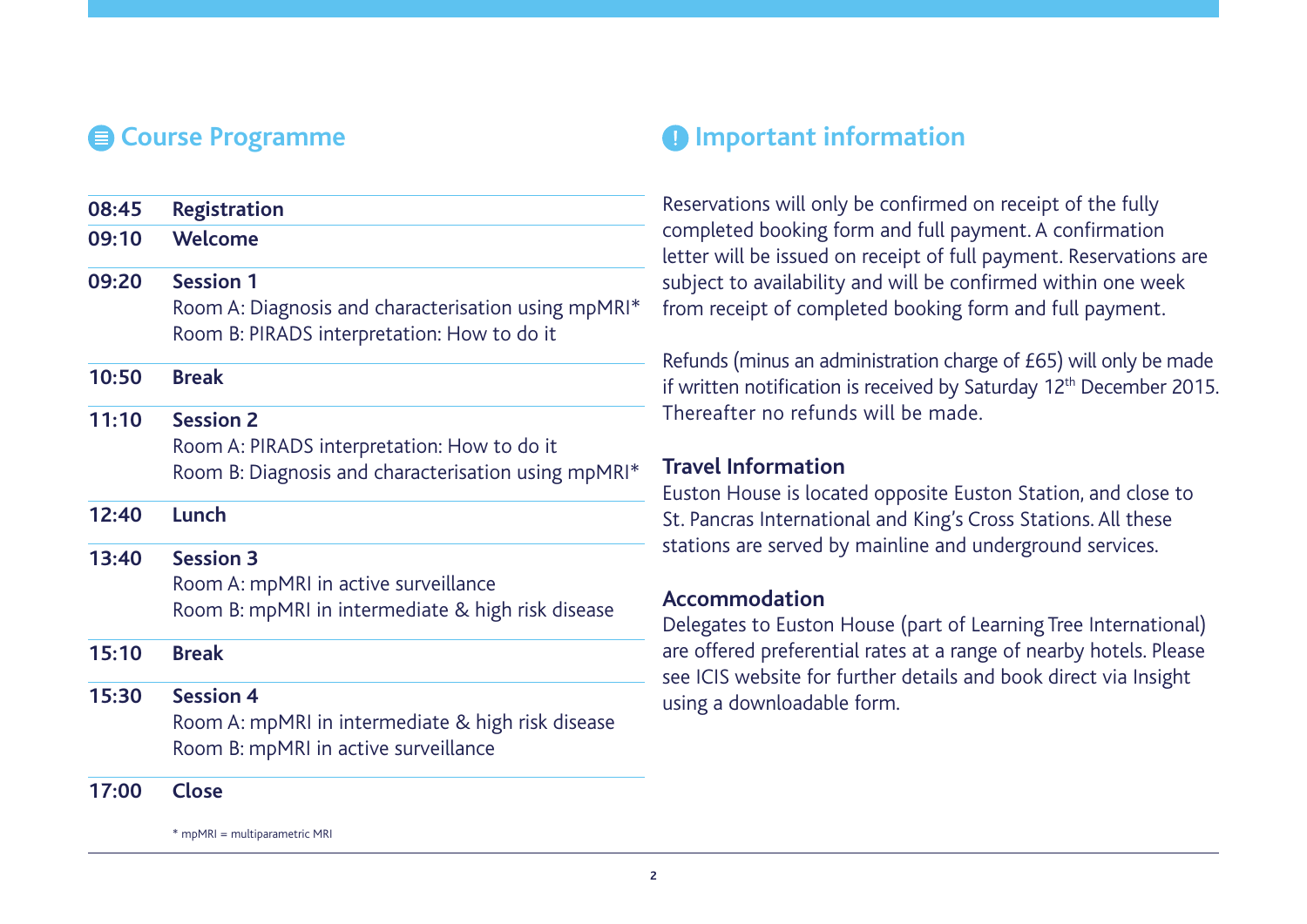| <b>Registration</b>                                 |
|-----------------------------------------------------|
| Welcome                                             |
| <b>Session 1</b>                                    |
| Room A: Diagnosis and characterisation using mpMRI* |
| Room B: PIRADS interpretation: How to do it         |
| <b>Break</b>                                        |
| <b>Session 2</b>                                    |
| Room A: PIRADS interpretation: How to do it         |
| Room B: Diagnosis and characterisation using mpMRI* |
| Lunch                                               |
| <b>Session 3</b>                                    |
| Room A: mpMRI in active surveillance                |
| Room B: mpMRI in intermediate & high risk disease   |
| <b>Break</b>                                        |
| <b>Session 4</b>                                    |
| Room A: mpMRI in intermediate & high risk disease   |
| Room B: mpMRI in active surveillance                |
|                                                     |

**17:00 Close**

\* mpMRI = multiparametric MRI

## **Example 2 Course Programme Important information**

Reservations will only be confirmed on receipt of the fully completed booking form and full payment. A confirmation letter will be issued on receipt of full payment. Reservations are subject to availability and will be confirmed within one week from receipt of completed booking form and full payment.

Refunds (minus an administration charge of £65) will only be made if written notification is received by Saturday 12<sup>th</sup> December 2015. Thereafter no refunds will be made.

### **Travel Information**

Euston House is located opposite Euston Station, and close to St. Pancras International and King's Cross Stations. All these stations are served by mainline and underground services.

#### **Accommodation**

Delegates to Euston House (part of Learning Tree International) are offered preferential rates at a range of nearby hotels. Please see ICIS website for further details and book direct via Insight using a downloadable form.